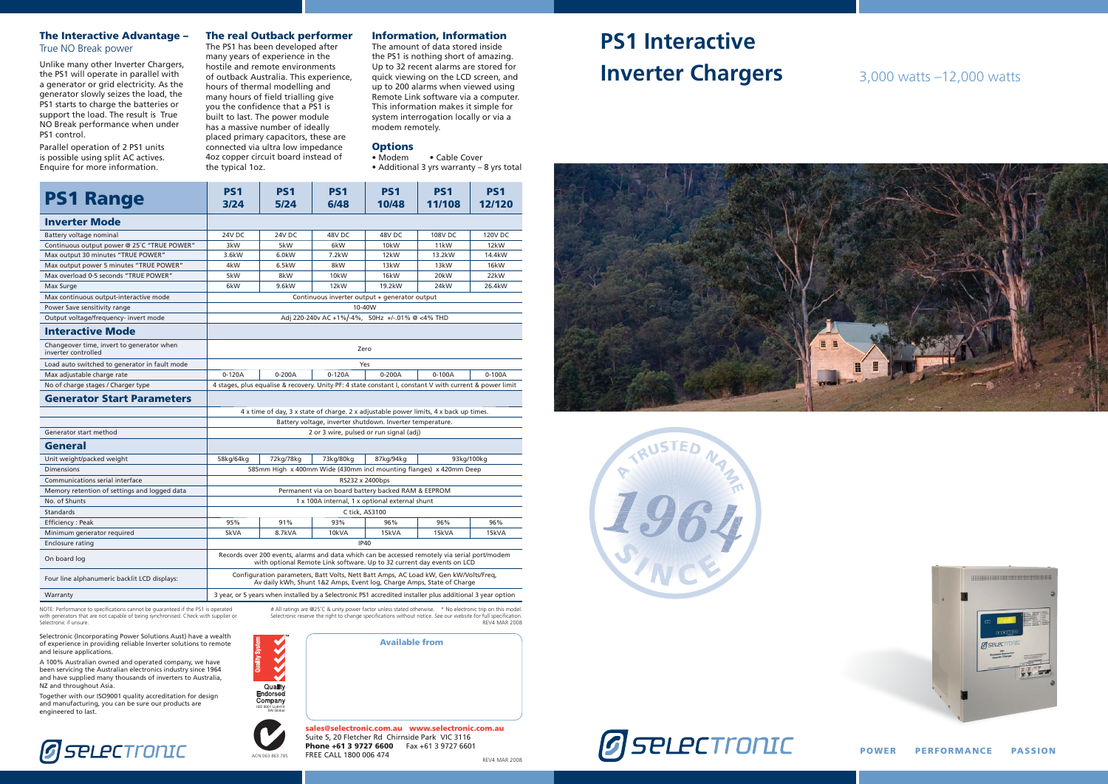**POWER PERFORMANCE PASSION**





**PS1**

**PS1**

# **PS1 Interactive Inverter Chargers** 3,000 watts –12,000 watts



| <b>PS1 Range</b>                                                 | PS <sub>1</sub><br>3/24                                                                                                                                                 | <b>PS1</b><br>5/24 | PS <sub>1</sub><br>6/48 | PS <sub>1</sub><br>10/48 | <b>PS1</b><br>11/108 | PS <sub>1</sub><br>12/120 |
|------------------------------------------------------------------|-------------------------------------------------------------------------------------------------------------------------------------------------------------------------|--------------------|-------------------------|--------------------------|----------------------|---------------------------|
| <b>Inverter Mode</b>                                             |                                                                                                                                                                         |                    |                         |                          |                      |                           |
| Battery voltage nominal                                          | 24V DC                                                                                                                                                                  | 24V DC             | 48V DC                  | 48V DC                   | 108V DC              | <b>120V DC</b>            |
| Continuous output power @ 25°C "TRUE POWER"                      | 3kW                                                                                                                                                                     | 5kW                | 6kW                     | 10 <sub>k</sub> W        | 11 <sub>k</sub> W    | 12 <sub>k</sub> W         |
| Max output 30 minutes "TRUE POWER"                               | 3.6kW                                                                                                                                                                   | 6.0kW              | 7.2kW                   | 12kW                     | 13.2kW               | 14.4kW                    |
| Max output power 5 minutes "TRUE POWER"                          | 4kW                                                                                                                                                                     | 6.5kW              | 8kW                     | 13kW                     | 13kW                 | 16kW                      |
| Max overload 0-5 seconds "TRUE POWER"                            | 5kW                                                                                                                                                                     | 8kW                | 10 <sub>k</sub> W       | 16kW                     | 20kW                 | 22kW                      |
| Max Surge                                                        | 6kW                                                                                                                                                                     | 9.6kW              | 12kW                    | 19.2kW                   | 24kW                 | 26.4kW                    |
| Max continuous output-interactive mode                           | Continuous inverter output + generator output                                                                                                                           |                    |                         |                          |                      |                           |
| Power Save sensitivity range                                     | 10-40W                                                                                                                                                                  |                    |                         |                          |                      |                           |
| Output voltage/frequency- invert mode                            | Adj 220-240v AC +1%/-4%, 50Hz +/-.01% @ <4% THD                                                                                                                         |                    |                         |                          |                      |                           |
| <b>Interactive Mode</b>                                          |                                                                                                                                                                         |                    |                         |                          |                      |                           |
| Changeover time, invert to generator when<br>inverter controlled | Zero                                                                                                                                                                    |                    |                         |                          |                      |                           |
| Load auto switched to generator in fault mode                    | Yes                                                                                                                                                                     |                    |                         |                          |                      |                           |
| Max adjustable charge rate                                       | $0-120A$                                                                                                                                                                | 0-200A             | $0-120A$                | $0 - 200A$               | $0 - 100A$           | $0 - 100A$                |
| No of charge stages / Charger type                               | 4 stages, plus equalise & recovery. Unity PF: 4 state constant I, constant V with current & power limit                                                                 |                    |                         |                          |                      |                           |
| <b>Generator Start Parameters</b>                                |                                                                                                                                                                         |                    |                         |                          |                      |                           |
|                                                                  | 4 x time of day, 3 x state of charge. 2 x adjustable power limits, 4 x back up times.                                                                                   |                    |                         |                          |                      |                           |
|                                                                  | Battery voltage, inverter shutdown. Inverter temperature.                                                                                                               |                    |                         |                          |                      |                           |
| Generator start method                                           | 2 or 3 wire, pulsed or run signal (adj)                                                                                                                                 |                    |                         |                          |                      |                           |
| General                                                          |                                                                                                                                                                         |                    |                         |                          |                      |                           |
| Unit weight/packed weight                                        | 58kg/64kg                                                                                                                                                               | 72kg/78kg          | 73kg/80kg               | 87kg/94kg                |                      | 93kg/100kg                |
| <b>Dimensions</b>                                                | 585mm High x 400mm Wide (430mm incl mounting flanges) x 420mm Deep                                                                                                      |                    |                         |                          |                      |                           |
| Communications serial interface                                  | RS232 x 2400bps                                                                                                                                                         |                    |                         |                          |                      |                           |
| Memory retention of settings and logged data                     | Permanent via on board battery backed RAM & EEPROM                                                                                                                      |                    |                         |                          |                      |                           |
| No. of Shunts                                                    | 1 x 100A internal, 1 x optional external shunt                                                                                                                          |                    |                         |                          |                      |                           |
| <b>Standards</b>                                                 | C tick, AS3100                                                                                                                                                          |                    |                         |                          |                      |                           |
| Efficiency: Peak                                                 | 95%                                                                                                                                                                     | 91%                | 93%                     | 96%                      | 96%                  | 96%                       |
| Minimum generator required                                       | 5kVA                                                                                                                                                                    | 8.7kVA             | 10kVA                   | 15kVA                    | 15kVA                | 15kVA                     |
| Enclosure rating                                                 | <b>IP40</b>                                                                                                                                                             |                    |                         |                          |                      |                           |
| On board log                                                     | Records over 200 events, alarms and data which can be accessed remotely via serial port/modem<br>with optional Remote Link software. Up to 32 current day events on LCD |                    |                         |                          |                      |                           |
| Four line alphanumeric backlit LCD displays:                     | Configuration parameters, Batt Volts, Nett Batt Amps, AC Load kW, Gen kW/Volts/Freq,<br>Av daily kWh, Shunt 1&2 Amps, Event log, Charge Amps, State of Charge           |                    |                         |                          |                      |                           |
| Warranty                                                         | 3 year, or 5 years when installed by a Selectronic PS1 accredited installer plus additional 3 year option                                                               |                    |                         |                          |                      |                           |

• Cable Cover • Additional 3 yrs warranty – 8 yrs total

**PS1** 

# All ratings are @25˚C & unity power factor unless stated otherwise. \* No electronic trip on this model. Selectronic reserve the right to change specifications without notice. See our website for full specification.<br>REV4 MAR 2008

KKKK Quality<br>Endorsed<br>Company SAI Global



#### **The Interactive Advantage –** True NO Break power

NOTE: Performance to specifications cannot be quaranteed if the PS1 is operated with generators that are not capable of being synchronised. Check with supplier or Selectronic if unsure.

Unlike many other Inverter Chargers, the PS1 will operate in parallel with a generator or grid electricity. As the generator slowly seizes the load, the PS1 starts to charge the batteries or support the load. The result is True NO Break performance when under PS1 control.

Parallel operation of 2 PS1 units is possible using split AC actives. Enquire for more information.

#### **The real Outback performer**

The PS1 has been developed after many years of experience in the hostile and remote environments of outback Australia. This experience, hours of thermal modelling and many hours of field trialling give you the confidence that a PS1 is built to last. The power module has a massive number of ideally placed primary capacitors, these are connected via ultra low impedance 4oz copper circuit board instead of the typical 1oz.

#### **Information, Information**

The amount of data stored inside the PS1 is nothing short of amazing. Up to 32 recent alarms are stored for quick viewing on the LCD screen, and up to 200 alarms when viewed using Remote Link software via a computer. This information makes it simple for system interrogation locally or via a modem remotely.

## **Options**

Selectronic (Incorporating Power Solutions Aust) have a wealth of experience in providing reliable Inverter solutions to remote and leisure applications.

A 100% Australian owned and operated company, we have been servicing the Australian electronics industry since 1964 and have supplied many thousands of inverters to Australia, NZ and throughout Asia.

Together with our ISO9001 quality accreditation for design and manufacturing, you can be sure our products are engineered to last.

# **G** SPLPCTronIC

**Available from**



**sales@selectronic.com.au www.selectronic.com.au** Suite 5, 20 Fletcher Rd Chirnside Park VIC 3116 **Phone +61 3 9727 6600** Fax +61 3 9727 6601 FREE CALL 1800 006 474